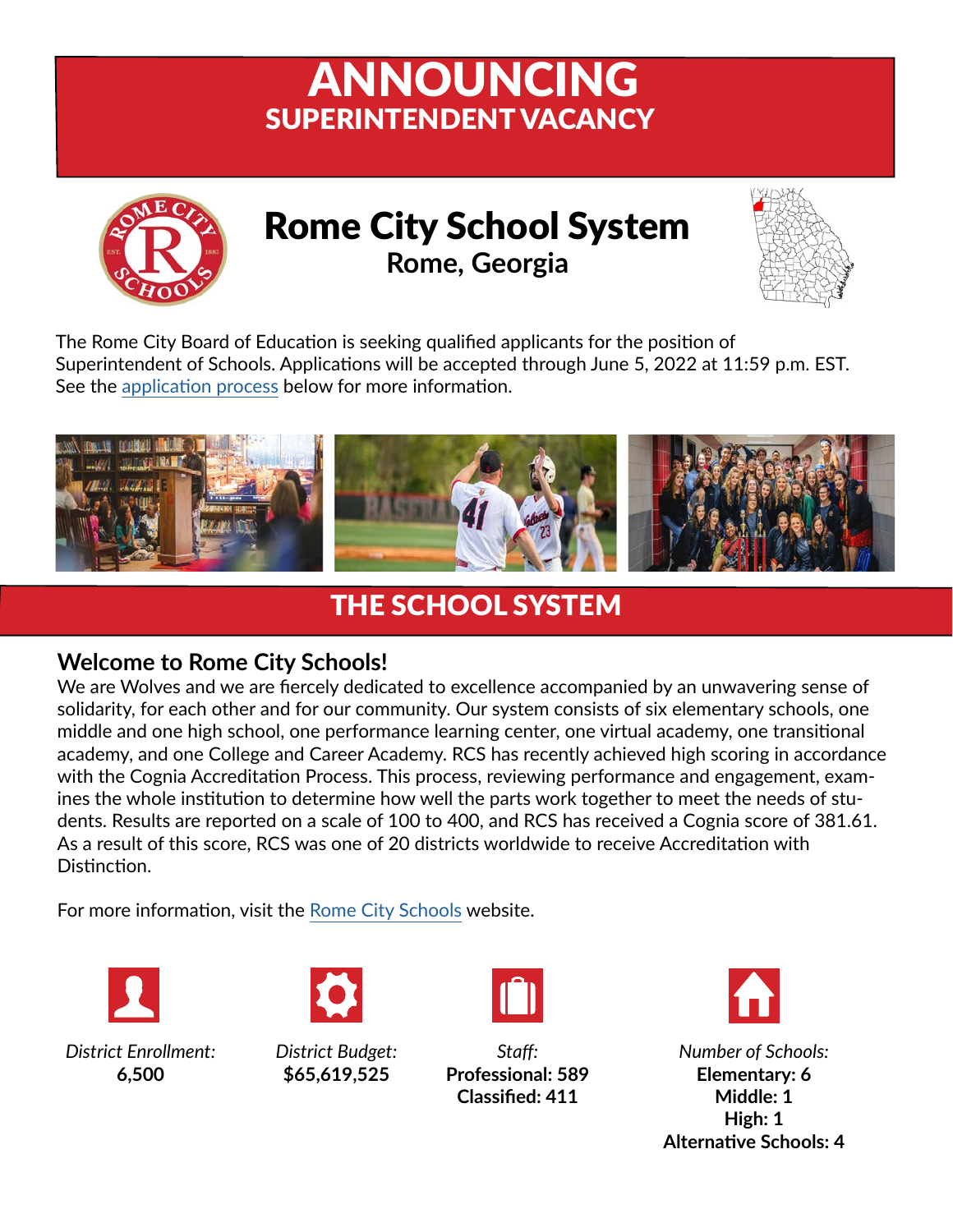# ANNOUNCING SUPERINTENDENT VACANCY



Rome City School System **Rome, Georgia**



The Rome City Board of Education is seeking qualified applicants for the position of Superintendent of Schools. Applications will be accepted through June 5, 2022 at 11:59 p.m. EST. See the [application process](#page-2-0) below for more information.



### THE SCHOOL SYSTEM

#### **Welcome to Rome City Schools!**

We are Wolves and we are fiercely dedicated to excellence accompanied by an unwavering sense of solidarity, for each other and for our community. Our system consists of six elementary schools, one middle and one high school, one performance learning center, one virtual academy, one transitional academy, and one College and Career Academy. RCS has recently achieved high scoring in accordance with the Cognia Accreditation Process. This process, reviewing performance and engagement, examines the whole institution to determine how well the parts work together to meet the needs of students. Results are reported on a scale of 100 to 400, and RCS has received a Cognia score of 381.61. As a result of this score, RCS was one of 20 districts worldwide to receive Accreditation with Distinction.

For more information, visit the Rome Cit[y Schools](https://www.rcs.rome.ga.us/) website.





*District Enrollment:* **6,500**



*Staff:* **Professional: 589 Classified: 411**



*Number of Schools:* **Elementary: 6 Middle: 1 High: 1 Alternative Schools: 4**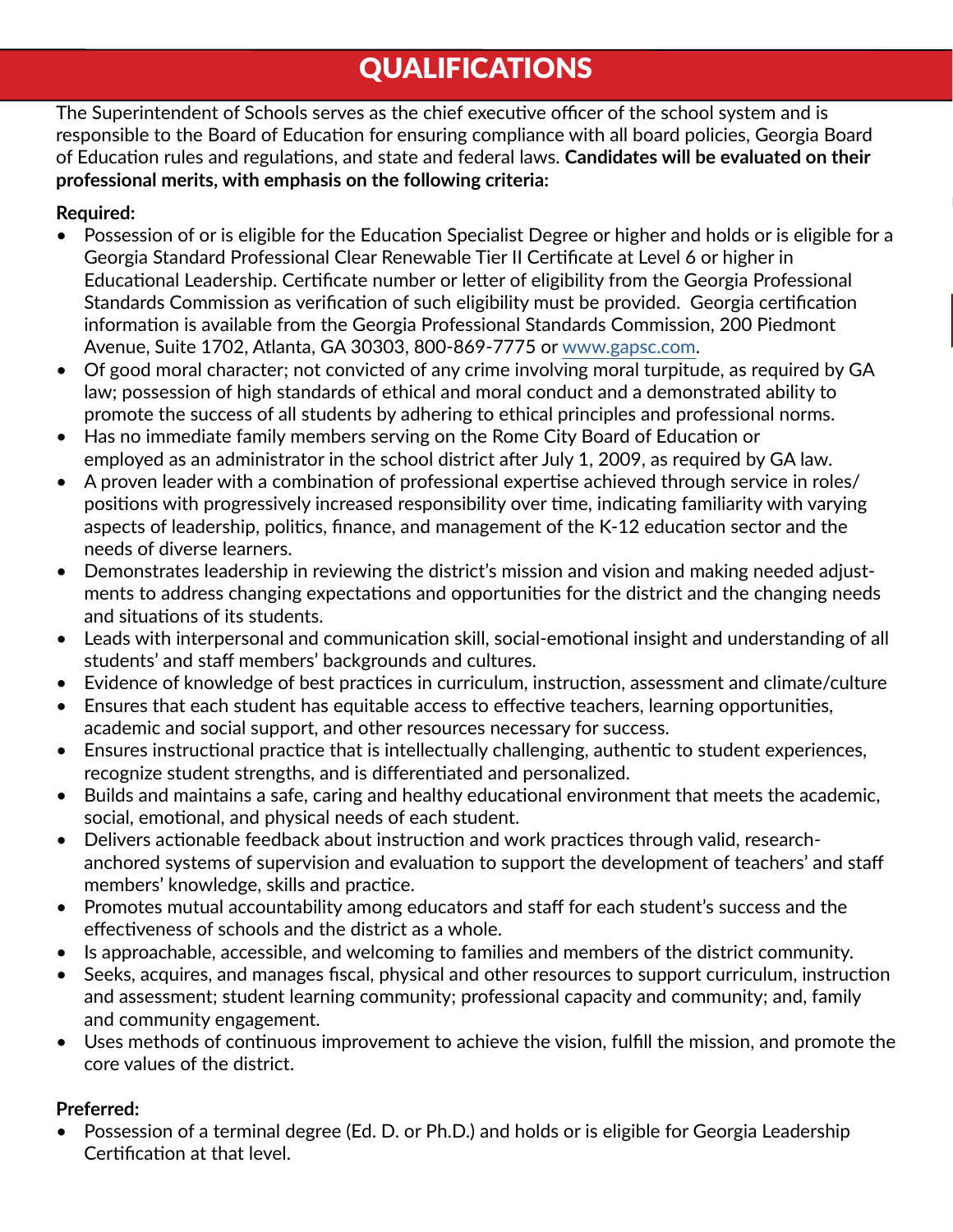#### QUALIFICATIONS

The Superintendent of Schools serves as the chief executive officer of the school system and is responsible to the Board of Education for ensuring compliance with all board policies, Georgia Board of Education rules and regulations, and state and federal laws. **Candidates will be evaluated on their professional merits, with emphasis on the following criteria:**

#### **Required:**

- Possession of or is eligible for the Education Specialist Degree or higher and holds or is eligible for a Georgia Standard Professional Clear Renewable Tier II Certificate at Level 6 or higher in Educational Leadership. Certificate number or letter of eligibility from the Georgia Professional Standards Commission as verification of such eligibility must be provided. Georgia certification information is available from the Georgia Professional Standards Commission, 200 Piedmont Avenue, Suite 1702, Atlanta, GA 30303, 800-869-7775 or [www.gapsc.com](http://www.gapsc.com).
- Of good moral character; not convicted of any crime involving moral turpitude, as required by GA law; possession of high standards of ethical and moral conduct and a demonstrated ability to promote the success of all students by adhering to ethical principles and professional norms.
- Has no immediate family members serving on the Rome City Board of Education or employed as an administrator in the school district after July 1, 2009, as required by GA law.
- A proven leader with a combination of professional expertise achieved through service in roles/ positions with progressively increased responsibility over time, indicating familiarity with varying aspects of leadership, politics, finance, and management of the K-12 education sector and the needs of diverse learners.
- Demonstrates leadership in reviewing the district's mission and vision and making needed adjustments to address changing expectations and opportunities for the district and the changing needs and situations of its students.
- Leads with interpersonal and communication skill, social-emotional insight and understanding of all students' and staff members' backgrounds and cultures.
- Evidence of knowledge of best practices in curriculum, instruction, assessment and climate/culture
- Ensures that each student has equitable access to effective teachers, learning opportunities, academic and social support, and other resources necessary for success.
- Ensures instructional practice that is intellectually challenging, authentic to student experiences, recognize student strengths, and is differentiated and personalized.
- Builds and maintains a safe, caring and healthy educational environment that meets the academic, social, emotional, and physical needs of each student.
- Delivers actionable feedback about instruction and work practices through valid, researchanchored systems of supervision and evaluation to support the development of teachers' and staff members' knowledge, skills and practice.
- Promotes mutual accountability among educators and staff for each student's success and the effectiveness of schools and the district as a whole.
- Is approachable, accessible, and welcoming to families and members of the district community.
- Seeks, acquires, and manages fiscal, physical and other resources to support curriculum, instruction and assessment; student learning community; professional capacity and community; and, family and community engagement.
- Uses methods of continuous improvement to achieve the vision, fulfill the mission, and promote the core values of the district.

#### **Preferred:**

• Possession of a terminal degree (Ed. D. or Ph.D.) and holds or is eligible for Georgia Leadership Certification at that level.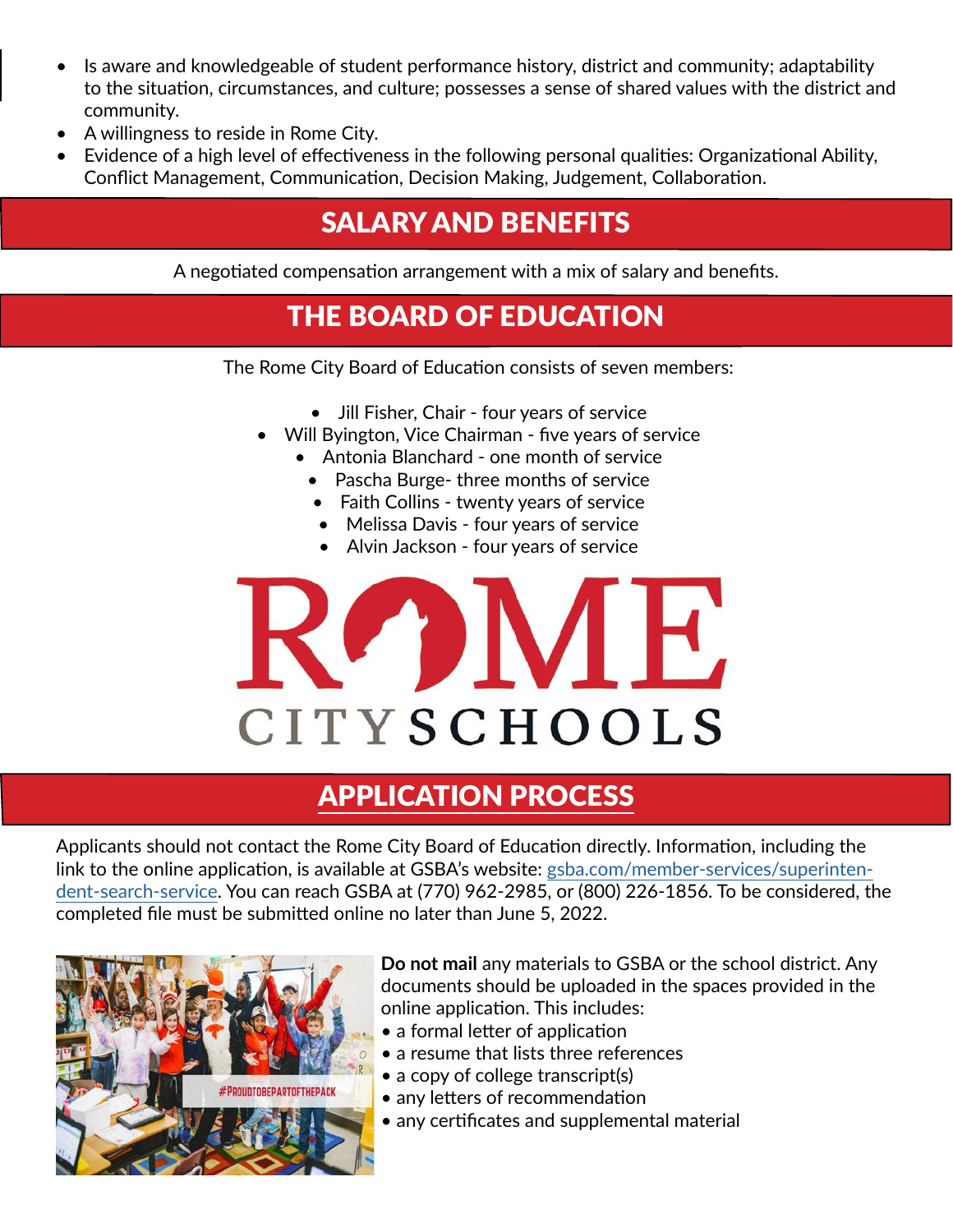- Is aware and knowledgeable of student performance history, district and community; adaptability to the situation, circumstances, and culture; possesses a sense of shared values with the district and community.
- A willingness to reside in Rome City.
- Evidence of a high level of effectiveness in the following personal qualities: Organizational Ability, Conflict Management, Communication, Decision Making, Judgement, Collaboration.

## SALARY AND BENEFITS

A negotiated compensation arrangement with a mix of salary and benefits.

#### THE BOARD OF EDUCATION

The Rome City Board of Education consists of seven members:

- Jill Fisher, Chair four years of service
- Will Byington, Vice Chairman five years of service
	- Antonia Blanchard one month of service
	- Pascha Burge- three months of service
	- Faith Collins twenty years of service
	- Melissa Davis four years of service
	- Alvin Jackson four years of service



#### <span id="page-2-0"></span>APPLICATION PROCESS

Applicants should not contact the Rome City Board of Education directly. Information, including the link to the online application, is available at GSBA's website: [gsba.com/member-services/superinten](https://gsba.com/member-services/superintendent-search-service/)[dent-search-service.](https://gsba.com/member-services/superintendent-search-service/) You can reach GSBA at (770) 962-2985, or (800) 226-1856. To be considered, the completed file must be submitted online no later than June 5, 2022.



**Do not mail** any materials to GSBA or the school district. Any documents should be uploaded in the spaces provided in the online application. This includes:

- a formal letter of application
- a resume that lists three references
- a copy of college transcript(s)
- any letters of recommendation
- any certificates and supplemental material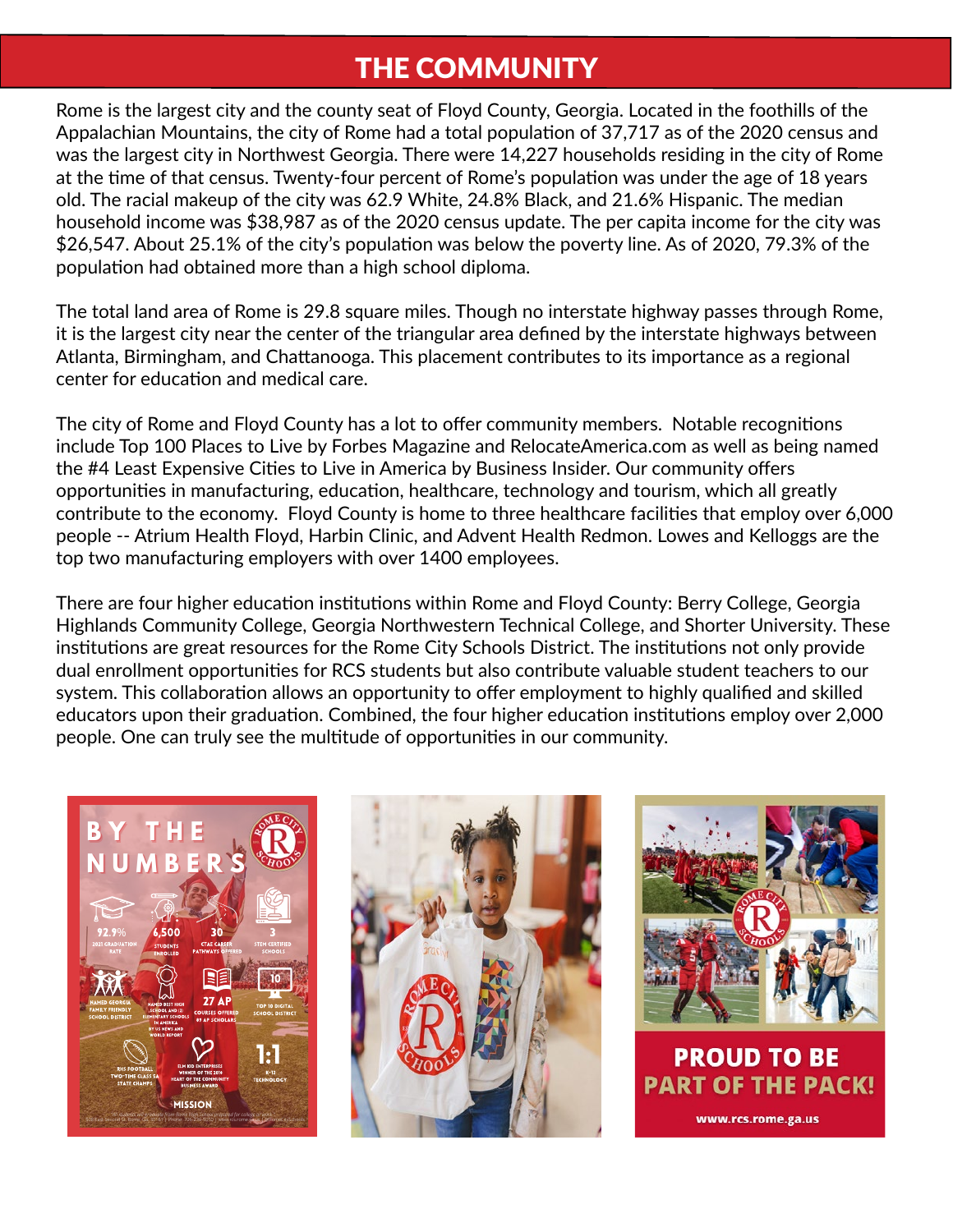#### THE COMMUNITY

Rome is the largest city and the county seat of Floyd County, Georgia. Located in the foothills of the Appalachian Mountains, the city of Rome had a total population of 37,717 as of the 2020 census and was the largest city in Northwest Georgia. There were 14,227 households residing in the city of Rome at the time of that census. Twenty-four percent of Rome's population was under the age of 18 years old. The racial makeup of the city was 62.9 White, 24.8% Black, and 21.6% Hispanic. The median household income was \$38,987 as of the 2020 census update. The per capita income for the city was \$26,547. About 25.1% of the city's population was below the poverty line. As of 2020, 79.3% of the population had obtained more than a high school diploma.

The total land area of Rome is 29.8 square miles. Though no interstate highway passes through Rome, it is the largest city near the center of the triangular area defined by the interstate highways between Atlanta, Birmingham, and Chattanooga. This placement contributes to its importance as a regional center for education and medical care.

The city of Rome and Floyd County has a lot to offer community members. Notable recognitions include Top 100 Places to Live by Forbes Magazine and RelocateAmerica.com as well as being named the #4 Least Expensive Cities to Live in America by Business Insider. Our community offers opportunities in manufacturing, education, healthcare, technology and tourism, which all greatly contribute to the economy. Floyd County is home to three healthcare facilities that employ over 6,000 people -- Atrium Health Floyd, Harbin Clinic, and Advent Health Redmon. Lowes and Kelloggs are the top two manufacturing employers with over 1400 employees.

There are four higher education institutions within Rome and Floyd County: Berry College, Georgia Highlands Community College, Georgia Northwestern Technical College, and Shorter University. These institutions are great resources for the Rome City Schools District. The institutions not only provide dual enrollment opportunities for RCS students but also contribute valuable student teachers to our system. This collaboration allows an opportunity to offer employment to highly qualified and skilled educators upon their graduation. Combined, the four higher education institutions employ over 2,000 people. One can truly see the multitude of opportunities in our community.







**PART OF THE PACK!** 

www.rcs.rome.ga.us